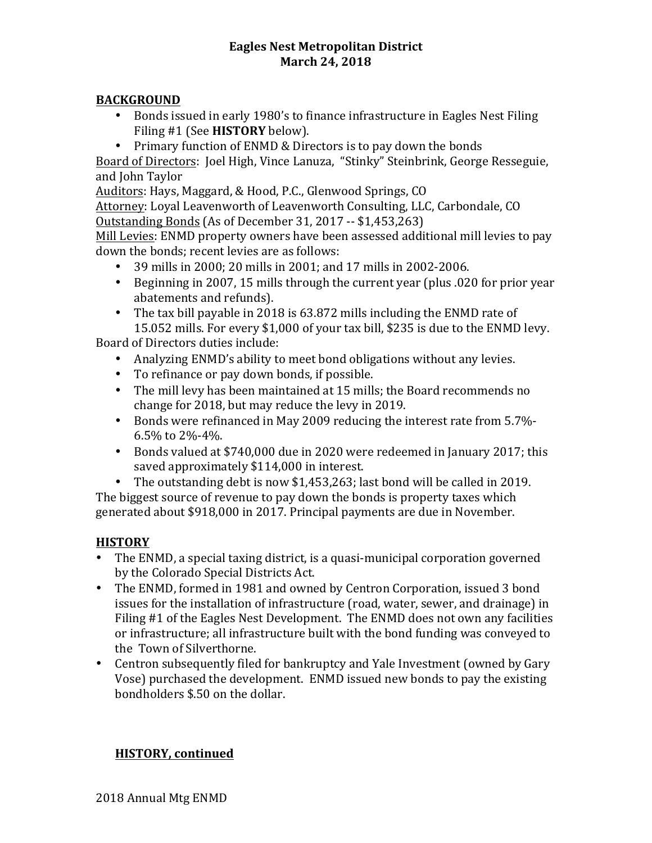#### **Eagles Nest Metropolitan District March 24, 2018**

### **BACKGROUND**

- Bonds issued in early 1980's to finance infrastructure in Eagles Nest Filing Filing #1 (See **HISTORY** below).
- Primary function of ENMD & Directors is to pay down the bonds

Board of Directors: Joel High, Vince Lanuza, "Stinky" Steinbrink, George Resseguie, and John Taylor

Auditors: Hays, Maggard, & Hood, P.C., Glenwood Springs, CO Attorney: Loyal Leavenworth of Leavenworth Consulting, LLC, Carbondale, CO Outstanding Bonds (As of December 31, 2017 -- \$1,453,263)

Mill Levies: ENMD property owners have been assessed additional mill levies to pay down the bonds; recent levies are as follows:

- 39 mills in 2000; 20 mills in 2001; and 17 mills in 2002-2006.
- Beginning in 2007, 15 mills through the current year (plus  $.020$  for prior year abatements and refunds).
- The tax bill payable in 2018 is  $63.872$  mills including the ENMD rate of 15.052 mills. For every \$1,000 of your tax bill, \$235 is due to the ENMD levy.

Board of Directors duties include:

- Analyzing ENMD's ability to meet bond obligations without any levies.
- To refinance or pay down bonds, if possible.
- The mill levy has been maintained at 15 mills; the Board recommends no change for 2018, but may reduce the levy in 2019.
- Bonds were refinanced in May 2009 reducing the interest rate from 5.7%- $6.5\%$  to  $2\%$ -4%.
- Bonds valued at \$740,000 due in 2020 were redeemed in January 2017; this saved approximately \$114,000 in interest.
- The outstanding debt is now  $$1,453,263$ ; last bond will be called in 2019.

The biggest source of revenue to pay down the bonds is property taxes which generated about \$918,000 in 2017. Principal payments are due in November.

# **HISTORY**

- The ENMD, a special taxing district, is a quasi-municipal corporation governed by the Colorado Special Districts Act.
- The ENMD, formed in 1981 and owned by Centron Corporation, issued 3 bond issues for the installation of infrastructure (road, water, sewer, and drainage) in Filing  $#1$  of the Eagles Nest Development. The ENMD does not own any facilities or infrastructure; all infrastructure built with the bond funding was conveyed to the Town of Silverthorne.
- Centron subsequently filed for bankruptcy and Yale Investment (owned by Gary Vose) purchased the development. ENMD issued new bonds to pay the existing bondholders \$.50 on the dollar.

# **HISTORY, continued**